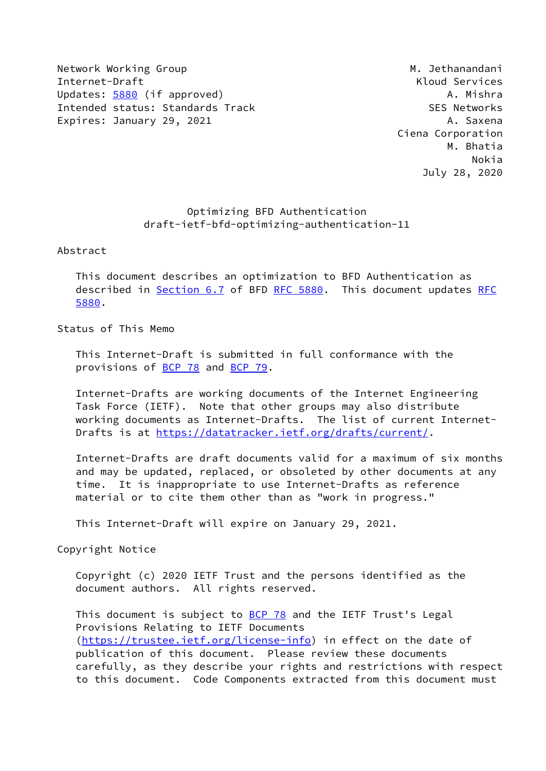Network Working Group Metwork Working Group Metwork Methods and Methods and Methods Methods and Metal Methods M Internet-Draft Kloud Services Updates: [5880](https://datatracker.ietf.org/doc/pdf/rfc5880) (if approved) and the control of the control of the control of the control of the control of the control of the control of the control of the control of the control of the control of the control of the contro Intended status: Standards Track SES Networks Expires: January 29, 2021 A. Saxena

 Ciena Corporation M. Bhatia Nokia July 28, 2020

# Optimizing BFD Authentication draft-ietf-bfd-optimizing-authentication-11

Abstract

 This document describes an optimization to BFD Authentication as described in Section 6.7 of BFD [RFC 5880](https://datatracker.ietf.org/doc/pdf/rfc5880). This document updates [RFC](https://datatracker.ietf.org/doc/pdf/rfc5880) [5880](https://datatracker.ietf.org/doc/pdf/rfc5880).

Status of This Memo

 This Internet-Draft is submitted in full conformance with the provisions of **BCP 78** and **BCP 79**.

 Internet-Drafts are working documents of the Internet Engineering Task Force (IETF). Note that other groups may also distribute working documents as Internet-Drafts. The list of current Internet Drafts is at<https://datatracker.ietf.org/drafts/current/>.

 Internet-Drafts are draft documents valid for a maximum of six months and may be updated, replaced, or obsoleted by other documents at any time. It is inappropriate to use Internet-Drafts as reference material or to cite them other than as "work in progress."

This Internet-Draft will expire on January 29, 2021.

Copyright Notice

 Copyright (c) 2020 IETF Trust and the persons identified as the document authors. All rights reserved.

This document is subject to **[BCP 78](https://datatracker.ietf.org/doc/pdf/bcp78)** and the IETF Trust's Legal Provisions Relating to IETF Documents [\(https://trustee.ietf.org/license-info](https://trustee.ietf.org/license-info)) in effect on the date of publication of this document. Please review these documents carefully, as they describe your rights and restrictions with respect to this document. Code Components extracted from this document must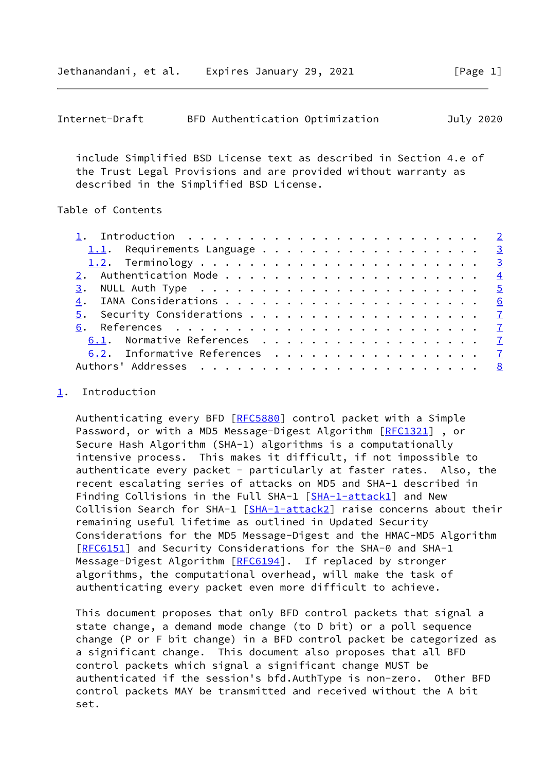<span id="page-1-1"></span>

|  |  | July 2020                       |
|--|--|---------------------------------|
|  |  | BFD Authentication Optimization |

 include Simplified BSD License text as described in Section 4.e of the Trust Legal Provisions and are provided without warranty as described in the Simplified BSD License.

### Table of Contents

| 1.1. Requirements Language 3  |  |
|-------------------------------|--|
|                               |  |
|                               |  |
|                               |  |
|                               |  |
|                               |  |
|                               |  |
| 6.1. Normative References 7   |  |
| 6.2. Informative References 7 |  |
|                               |  |
|                               |  |

## <span id="page-1-0"></span>[1](#page-1-0). Introduction

Authenticating every BFD [\[RFC5880](https://datatracker.ietf.org/doc/pdf/rfc5880)] control packet with a Simple Password, or with a MD5 Message-Digest Algorithm [\[RFC1321](https://datatracker.ietf.org/doc/pdf/rfc1321)], or Secure Hash Algorithm (SHA-1) algorithms is a computationally intensive process. This makes it difficult, if not impossible to authenticate every packet - particularly at faster rates. Also, the recent escalating series of attacks on MD5 and SHA-1 described in Finding Collisions in the Full SHA-1 [\[SHA-1-attack1\]](#page-8-0) and New Collision Search for SHA-1 [[SHA-1-attack2\]](#page-8-1) raise concerns about their remaining useful lifetime as outlined in Updated Security Considerations for the MD5 Message-Digest and the HMAC-MD5 Algorithm [\[RFC6151](https://datatracker.ietf.org/doc/pdf/rfc6151)] and Security Considerations for the SHA-0 and SHA-1 Message-Digest Algorithm [\[RFC6194](https://datatracker.ietf.org/doc/pdf/rfc6194)]. If replaced by stronger algorithms, the computational overhead, will make the task of authenticating every packet even more difficult to achieve.

 This document proposes that only BFD control packets that signal a state change, a demand mode change (to D bit) or a poll sequence change (P or F bit change) in a BFD control packet be categorized as a significant change. This document also proposes that all BFD control packets which signal a significant change MUST be authenticated if the session's bfd.AuthType is non-zero. Other BFD control packets MAY be transmitted and received without the A bit set.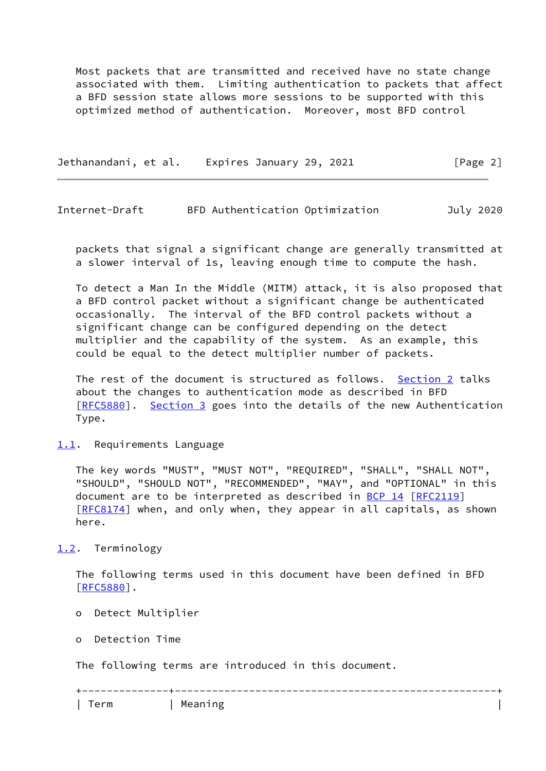Most packets that are transmitted and received have no state change associated with them. Limiting authentication to packets that affect a BFD session state allows more sessions to be supported with this optimized method of authentication. Moreover, most BFD control

Jethanandani, et al. Expires January 29, 2021 [Page 2]

<span id="page-2-1"></span>Internet-Draft BFD Authentication Optimization July 2020

 packets that signal a significant change are generally transmitted at a slower interval of 1s, leaving enough time to compute the hash.

 To detect a Man In the Middle (MITM) attack, it is also proposed that a BFD control packet without a significant change be authenticated occasionally. The interval of the BFD control packets without a significant change can be configured depending on the detect multiplier and the capability of the system. As an example, this could be equal to the detect multiplier number of packets.

 The rest of the document is structured as follows. [Section 2](#page-3-0) talks about the changes to authentication mode as described in BFD [\[RFC5880](https://datatracker.ietf.org/doc/pdf/rfc5880)]. [Section 3](#page-5-0) goes into the details of the new Authentication Type.

<span id="page-2-0"></span>[1.1](#page-2-0). Requirements Language

 The key words "MUST", "MUST NOT", "REQUIRED", "SHALL", "SHALL NOT", "SHOULD", "SHOULD NOT", "RECOMMENDED", "MAY", and "OPTIONAL" in this document are to be interpreted as described in [BCP 14](https://datatracker.ietf.org/doc/pdf/bcp14) [[RFC2119](https://datatracker.ietf.org/doc/pdf/rfc2119)] [\[RFC8174](https://datatracker.ietf.org/doc/pdf/rfc8174)] when, and only when, they appear in all capitals, as shown here.

<span id="page-2-2"></span>[1.2](#page-2-2). Terminology

 The following terms used in this document have been defined in BFD [\[RFC5880](https://datatracker.ietf.org/doc/pdf/rfc5880)].

- o Detect Multiplier
- o Detection Time

The following terms are introduced in this document.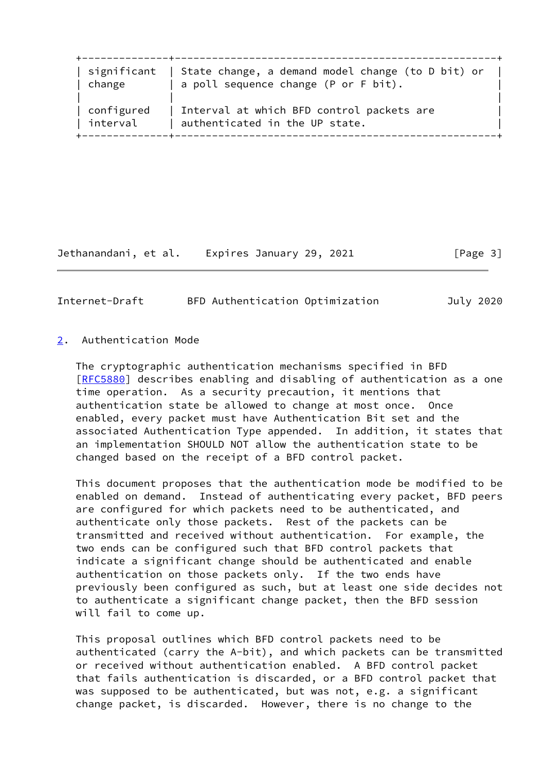| significant | State change, a demand model change (to D bit) or |
|-------------|---------------------------------------------------|
| change      | a poll sequence change (P or F bit).              |
| configured  | Interval at which BFD control packets are         |
| interval    | authenticated in the UP state.                    |

Jethanandani, et al. Expires January 29, 2021 [Page 3]

<span id="page-3-1"></span>

| Internet-Draft |  | BFD Authentication Optimization |  |  | July 2020 |
|----------------|--|---------------------------------|--|--|-----------|
|----------------|--|---------------------------------|--|--|-----------|

### <span id="page-3-0"></span>[2](#page-3-0). Authentication Mode

 The cryptographic authentication mechanisms specified in BFD [\[RFC5880](https://datatracker.ietf.org/doc/pdf/rfc5880)] describes enabling and disabling of authentication as a one time operation. As a security precaution, it mentions that authentication state be allowed to change at most once. Once enabled, every packet must have Authentication Bit set and the associated Authentication Type appended. In addition, it states that an implementation SHOULD NOT allow the authentication state to be changed based on the receipt of a BFD control packet.

 This document proposes that the authentication mode be modified to be enabled on demand. Instead of authenticating every packet, BFD peers are configured for which packets need to be authenticated, and authenticate only those packets. Rest of the packets can be transmitted and received without authentication. For example, the two ends can be configured such that BFD control packets that indicate a significant change should be authenticated and enable authentication on those packets only. If the two ends have previously been configured as such, but at least one side decides not to authenticate a significant change packet, then the BFD session will fail to come up.

 This proposal outlines which BFD control packets need to be authenticated (carry the A-bit), and which packets can be transmitted or received without authentication enabled. A BFD control packet that fails authentication is discarded, or a BFD control packet that was supposed to be authenticated, but was not, e.g. a significant change packet, is discarded. However, there is no change to the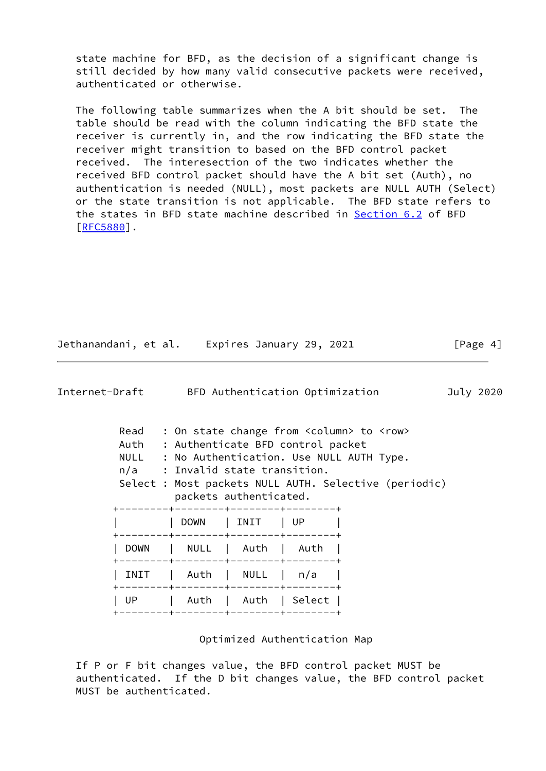state machine for BFD, as the decision of a significant change is still decided by how many valid consecutive packets were received, authenticated or otherwise.

 The following table summarizes when the A bit should be set. The table should be read with the column indicating the BFD state the receiver is currently in, and the row indicating the BFD state the receiver might transition to based on the BFD control packet received. The interesection of the two indicates whether the received BFD control packet should have the A bit set (Auth), no authentication is needed (NULL), most packets are NULL AUTH (Select) or the state transition is not applicable. The BFD state refers to the states in BFD state machine described in [Section 6.2](#page-7-2) of BFD [\[RFC5880](https://datatracker.ietf.org/doc/pdf/rfc5880)].

| Jethanandani, et al. | Expires January 29, 2021 | [Page 4] |
|----------------------|--------------------------|----------|
|----------------------|--------------------------|----------|

<span id="page-4-0"></span>

| Internet-Draft |             |              |                                                                                                                  | BFD Authentication Optimization |      |                                                                                                                                                                     | July 2020 |
|----------------|-------------|--------------|------------------------------------------------------------------------------------------------------------------|---------------------------------|------|---------------------------------------------------------------------------------------------------------------------------------------------------------------------|-----------|
|                | Read        |              | Auth : Authenticate BFD control packet<br>n/a : Invalid state transition.<br>-------+--------+--------+--------+ | packets authenticated.          |      | : On state change from <column> to <row><br/>NULL : No Authentication. Use NULL AUTH Type.<br/>Select : Most packets NULL AUTH. Selective (periodic)</row></column> |           |
|                |             |              | DOWN   INIT<br>--+--------+---------+-------+                                                                    |                                 | I UP |                                                                                                                                                                     |           |
|                | <b>DOWN</b> | $\mathbb{R}$ | -----+--------+--------+-------+                                                                                 | NULL   Auth                     | Auth |                                                                                                                                                                     |           |
|                | INIT        |              | -------+--------+--------+-------+                                                                               | Auth   NULL                     | n/a  |                                                                                                                                                                     |           |
|                | UP.         |              |                                                                                                                  | Auth   Auth   Select            |      |                                                                                                                                                                     |           |

Optimized Authentication Map

 If P or F bit changes value, the BFD control packet MUST be authenticated. If the D bit changes value, the BFD control packet MUST be authenticated.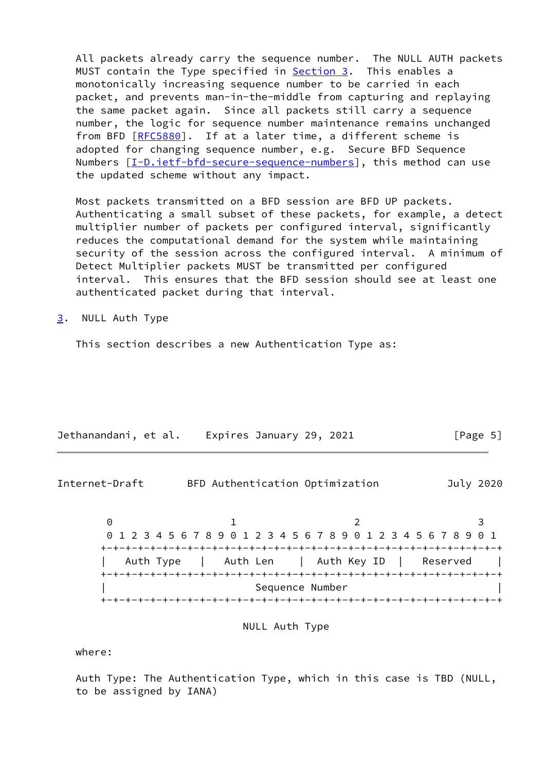All packets already carry the sequence number. The NULL AUTH packets MUST contain the Type specified in **[Section 3.](#page-5-0)** This enables a monotonically increasing sequence number to be carried in each packet, and prevents man-in-the-middle from capturing and replaying the same packet again. Since all packets still carry a sequence number, the logic for sequence number maintenance remains unchanged from BFD [\[RFC5880](https://datatracker.ietf.org/doc/pdf/rfc5880)]. If at a later time, a different scheme is adopted for changing sequence number, e.g. Secure BFD Sequence Numbers  $[\underline{I-D.ietf-bfd-secure-sequence-numbers}]$ , this method can use the updated scheme without any impact.

 Most packets transmitted on a BFD session are BFD UP packets. Authenticating a small subset of these packets, for example, a detect multiplier number of packets per configured interval, significantly reduces the computational demand for the system while maintaining security of the session across the configured interval. A minimum of Detect Multiplier packets MUST be transmitted per configured interval. This ensures that the BFD session should see at least one authenticated packet during that interval.

<span id="page-5-0"></span>[3](#page-5-0). NULL Auth Type

This section describes a new Authentication Type as:

| Jethanandani, et al. | Expires January 29, 2021 | [Page 5] |
|----------------------|--------------------------|----------|
|                      |                          |          |

<span id="page-5-1"></span>Internet-Draft BFD Authentication Optimization July 2020

 $0$  1 2 3 0 1 2 3 4 5 6 7 8 9 0 1 2 3 4 5 6 7 8 9 0 1 2 3 4 5 6 7 8 9 0 1 +-+-+-+-+-+-+-+-+-+-+-+-+-+-+-+-+-+-+-+-+-+-+-+-+-+-+-+-+-+-+-+-+ | Auth Type | Auth Len | Auth Key ID | Reserved | +-+-+-+-+-+-+-+-+-+-+-+-+-+-+-+-+-+-+-+-+-+-+-+-+-+-+-+-+-+-+-+-+ | Sequence Number | +-+-+-+-+-+-+-+-+-+-+-+-+-+-+-+-+-+-+-+-+-+-+-+-+-+-+-+-+-+-+-+-+

NULL Auth Type

where:

 Auth Type: The Authentication Type, which in this case is TBD (NULL, to be assigned by IANA)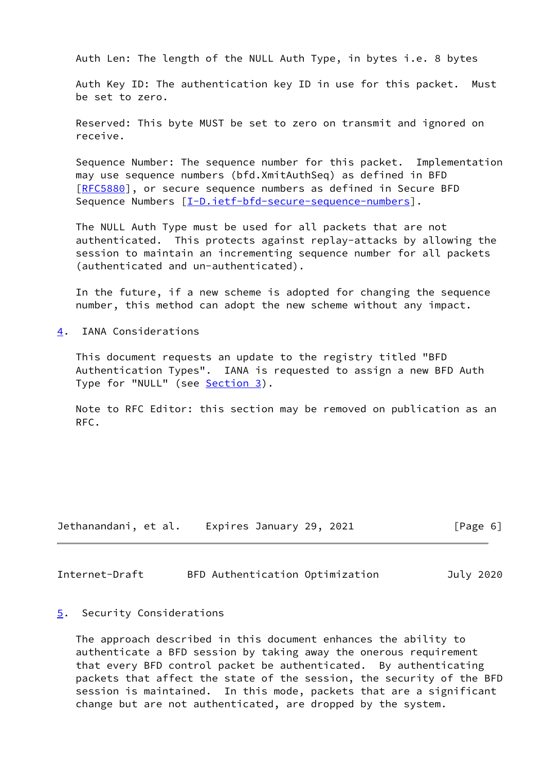Auth Len: The length of the NULL Auth Type, in bytes i.e. 8 bytes

 Auth Key ID: The authentication key ID in use for this packet. Must be set to zero.

 Reserved: This byte MUST be set to zero on transmit and ignored on receive.

 Sequence Number: The sequence number for this packet. Implementation may use sequence numbers (bfd.XmitAuthSeq) as defined in BFD [\[RFC5880](https://datatracker.ietf.org/doc/pdf/rfc5880)], or secure sequence numbers as defined in Secure BFD Sequence Numbers  $[I-D.iett-bfd-secure-sequence-numbers]$ .

 The NULL Auth Type must be used for all packets that are not authenticated. This protects against replay-attacks by allowing the session to maintain an incrementing sequence number for all packets (authenticated and un-authenticated).

 In the future, if a new scheme is adopted for changing the sequence number, this method can adopt the new scheme without any impact.

<span id="page-6-0"></span>[4](#page-6-0). IANA Considerations

 This document requests an update to the registry titled "BFD Authentication Types". IANA is requested to assign a new BFD Auth Type for "NULL" (see [Section 3](#page-5-0)).

 Note to RFC Editor: this section may be removed on publication as an RFC.

| Jethanandani, et al. | Expires January 29, 2021 | [Page 6] |
|----------------------|--------------------------|----------|
|----------------------|--------------------------|----------|

<span id="page-6-2"></span>Internet-Draft BFD Authentication Optimization July 2020

### <span id="page-6-1"></span>[5](#page-6-1). Security Considerations

 The approach described in this document enhances the ability to authenticate a BFD session by taking away the onerous requirement that every BFD control packet be authenticated. By authenticating packets that affect the state of the session, the security of the BFD session is maintained. In this mode, packets that are a significant change but are not authenticated, are dropped by the system.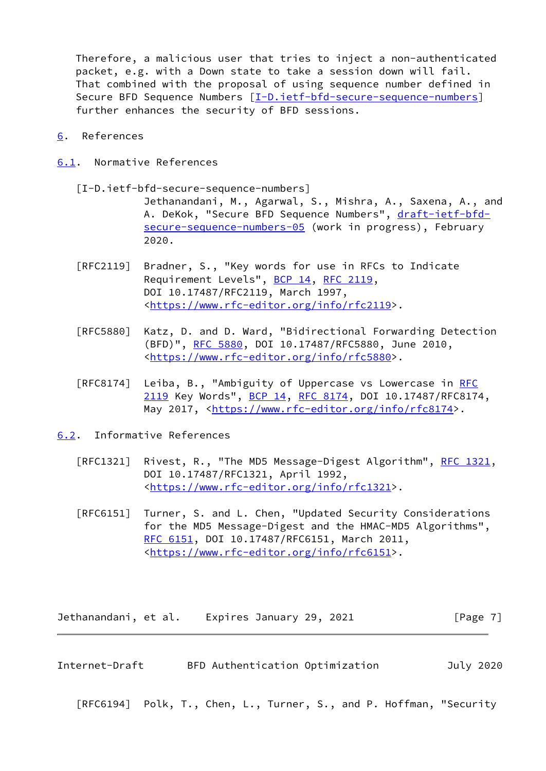Therefore, a malicious user that tries to inject a non-authenticated packet, e.g. with a Down state to take a session down will fail. That combined with the proposal of using sequence number defined in Secure BFD Sequence Numbers  $[\underline{I-D.i}etf-bfd-secure-sequence-numbers]$ further enhances the security of BFD sessions.

- <span id="page-7-0"></span>[6](#page-7-0). References
- <span id="page-7-1"></span>[6.1](#page-7-1). Normative References
	- [I-D.ietf-bfd-secure-sequence-numbers]

<span id="page-7-4"></span> Jethanandani, M., Agarwal, S., Mishra, A., Saxena, A., and A. DeKok, "Secure BFD Sequence Numbers", [draft-ietf-bfd](https://datatracker.ietf.org/doc/pdf/draft-ietf-bfd-secure-sequence-numbers-05) [secure-sequence-numbers-05](https://datatracker.ietf.org/doc/pdf/draft-ietf-bfd-secure-sequence-numbers-05) (work in progress), February 2020.

- [RFC2119] Bradner, S., "Key words for use in RFCs to Indicate Requirement Levels", [BCP 14](https://datatracker.ietf.org/doc/pdf/bcp14), [RFC 2119](https://datatracker.ietf.org/doc/pdf/rfc2119), DOI 10.17487/RFC2119, March 1997, <[https://www.rfc-editor.org/info/rfc2119>](https://www.rfc-editor.org/info/rfc2119).
- [RFC5880] Katz, D. and D. Ward, "Bidirectional Forwarding Detection (BFD)", [RFC 5880,](https://datatracker.ietf.org/doc/pdf/rfc5880) DOI 10.17487/RFC5880, June 2010, <[https://www.rfc-editor.org/info/rfc5880>](https://www.rfc-editor.org/info/rfc5880).
- [RFC8174] Leiba, B., "Ambiguity of Uppercase vs Lowercase in [RFC](https://datatracker.ietf.org/doc/pdf/rfc2119) [2119](https://datatracker.ietf.org/doc/pdf/rfc2119) Key Words", [BCP 14](https://datatracker.ietf.org/doc/pdf/bcp14), [RFC 8174,](https://datatracker.ietf.org/doc/pdf/rfc8174) DOI 10.17487/RFC8174, May 2017, [<https://www.rfc-editor.org/info/rfc8174](https://www.rfc-editor.org/info/rfc8174)>.

<span id="page-7-2"></span>[6.2](#page-7-2). Informative References

- [RFC1321] Rivest, R., "The MD5 Message-Digest Algorithm", [RFC 1321,](https://datatracker.ietf.org/doc/pdf/rfc1321) DOI 10.17487/RFC1321, April 1992, <[https://www.rfc-editor.org/info/rfc1321>](https://www.rfc-editor.org/info/rfc1321).
- [RFC6151] Turner, S. and L. Chen, "Updated Security Considerations for the MD5 Message-Digest and the HMAC-MD5 Algorithms", [RFC 6151,](https://datatracker.ietf.org/doc/pdf/rfc6151) DOI 10.17487/RFC6151, March 2011, <[https://www.rfc-editor.org/info/rfc6151>](https://www.rfc-editor.org/info/rfc6151).

Jethanandani, et al. Expires January 29, 2021 [Page 7]

<span id="page-7-3"></span>Internet-Draft BFD Authentication Optimization July 2020

[RFC6194] Polk, T., Chen, L., Turner, S., and P. Hoffman, "Security